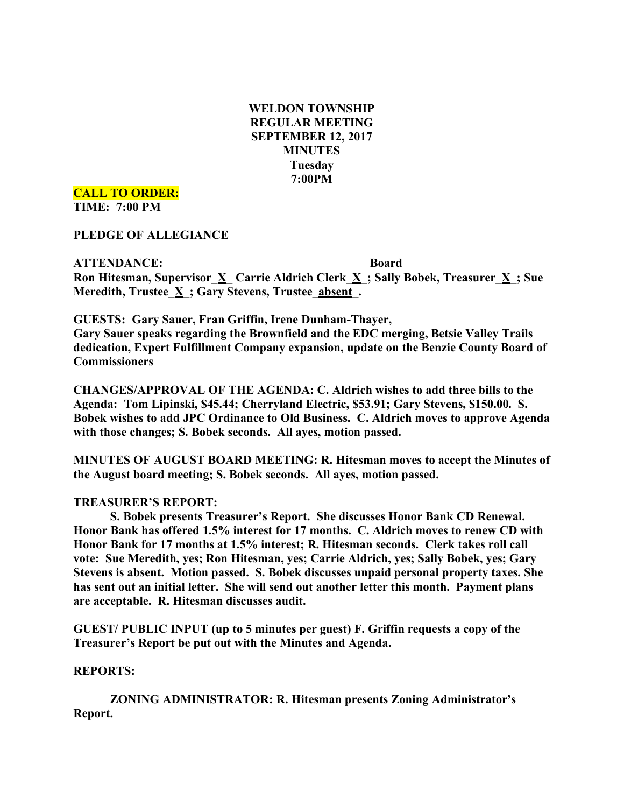**WELDON TOWNSHIP REGULAR MEETING SEPTEMBER 12, 2017 MINUTES Tuesday 7:00PM**

**CALL TO ORDER: TIME: 7:00 PM**

**PLEDGE OF ALLEGIANCE**

**ATTENDANCE: Board Ron Hitesman, Supervisor\_X\_ Carrie Aldrich Clerk\_X\_; Sally Bobek, Treasurer\_X\_; Sue Meredith, Trustee\_X\_; Gary Stevens, Trustee\_absent\_.**

**GUESTS: Gary Sauer, Fran Griffin, Irene Dunham-Thayer, Gary Sauer speaks regarding the Brownfield and the EDC merging, Betsie Valley Trails dedication, Expert Fulfillment Company expansion, update on the Benzie County Board of Commissioners**

**CHANGES/APPROVAL OF THE AGENDA: C. Aldrich wishes to add three bills to the Agenda: Tom Lipinski, \$45.44; Cherryland Electric, \$53.91; Gary Stevens, \$150.00. S. Bobek wishes to add JPC Ordinance to Old Business. C. Aldrich moves to approve Agenda with those changes; S. Bobek seconds. All ayes, motion passed.**

**MINUTES OF AUGUST BOARD MEETING: R. Hitesman moves to accept the Minutes of the August board meeting; S. Bobek seconds. All ayes, motion passed.**

# **TREASURER'S REPORT:**

**S. Bobek presents Treasurer's Report. She discusses Honor Bank CD Renewal. Honor Bank has offered 1.5% interest for 17 months. C. Aldrich moves to renew CD with Honor Bank for 17 months at 1.5% interest; R. Hitesman seconds. Clerk takes roll call vote: Sue Meredith, yes; Ron Hitesman, yes; Carrie Aldrich, yes; Sally Bobek, yes; Gary Stevens is absent. Motion passed. S. Bobek discusses unpaid personal property taxes. She has sent out an initial letter. She will send out another letter this month. Payment plans are acceptable. R. Hitesman discusses audit.**

**GUEST/ PUBLIC INPUT (up to 5 minutes per guest) F. Griffin requests a copy of the Treasurer's Report be put out with the Minutes and Agenda.**

#### **REPORTS:**

**ZONING ADMINISTRATOR: R. Hitesman presents Zoning Administrator's Report.**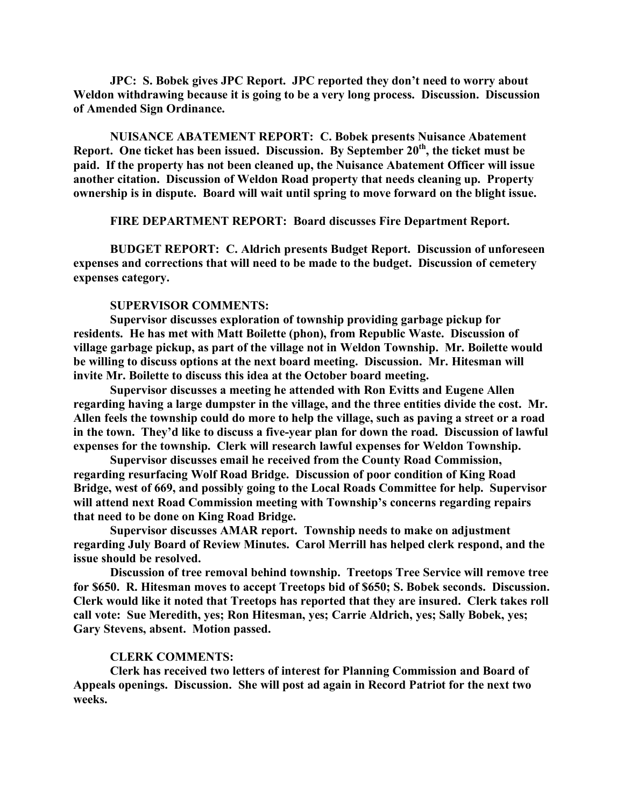**JPC: S. Bobek gives JPC Report. JPC reported they don't need to worry about Weldon withdrawing because it is going to be a very long process. Discussion. Discussion of Amended Sign Ordinance.**

**NUISANCE ABATEMENT REPORT: C. Bobek presents Nuisance Abatement Report. One ticket has been issued. Discussion. By September 20th, the ticket must be paid. If the property has not been cleaned up, the Nuisance Abatement Officer will issue another citation. Discussion of Weldon Road property that needs cleaning up. Property ownership is in dispute. Board will wait until spring to move forward on the blight issue.**

**FIRE DEPARTMENT REPORT: Board discusses Fire Department Report.**

**BUDGET REPORT: C. Aldrich presents Budget Report. Discussion of unforeseen expenses and corrections that will need to be made to the budget. Discussion of cemetery expenses category.**

#### **SUPERVISOR COMMENTS:**

**Supervisor discusses exploration of township providing garbage pickup for residents. He has met with Matt Boilette (phon), from Republic Waste. Discussion of village garbage pickup, as part of the village not in Weldon Township. Mr. Boilette would be willing to discuss options at the next board meeting. Discussion. Mr. Hitesman will invite Mr. Boilette to discuss this idea at the October board meeting.**

**Supervisor discusses a meeting he attended with Ron Evitts and Eugene Allen regarding having a large dumpster in the village, and the three entities divide the cost. Mr. Allen feels the township could do more to help the village, such as paving a street or a road in the town. They'd like to discuss a five-year plan for down the road. Discussion of lawful expenses for the township. Clerk will research lawful expenses for Weldon Township.**

**Supervisor discusses email he received from the County Road Commission, regarding resurfacing Wolf Road Bridge. Discussion of poor condition of King Road Bridge, west of 669, and possibly going to the Local Roads Committee for help. Supervisor will attend next Road Commission meeting with Township's concerns regarding repairs that need to be done on King Road Bridge.**

**Supervisor discusses AMAR report. Township needs to make on adjustment regarding July Board of Review Minutes. Carol Merrill has helped clerk respond, and the issue should be resolved.**

**Discussion of tree removal behind township. Treetops Tree Service will remove tree for \$650. R. Hitesman moves to accept Treetops bid of \$650; S. Bobek seconds. Discussion. Clerk would like it noted that Treetops has reported that they are insured. Clerk takes roll call vote: Sue Meredith, yes; Ron Hitesman, yes; Carrie Aldrich, yes; Sally Bobek, yes; Gary Stevens, absent. Motion passed.**

#### **CLERK COMMENTS:**

**Clerk has received two letters of interest for Planning Commission and Board of Appeals openings. Discussion. She will post ad again in Record Patriot for the next two weeks.**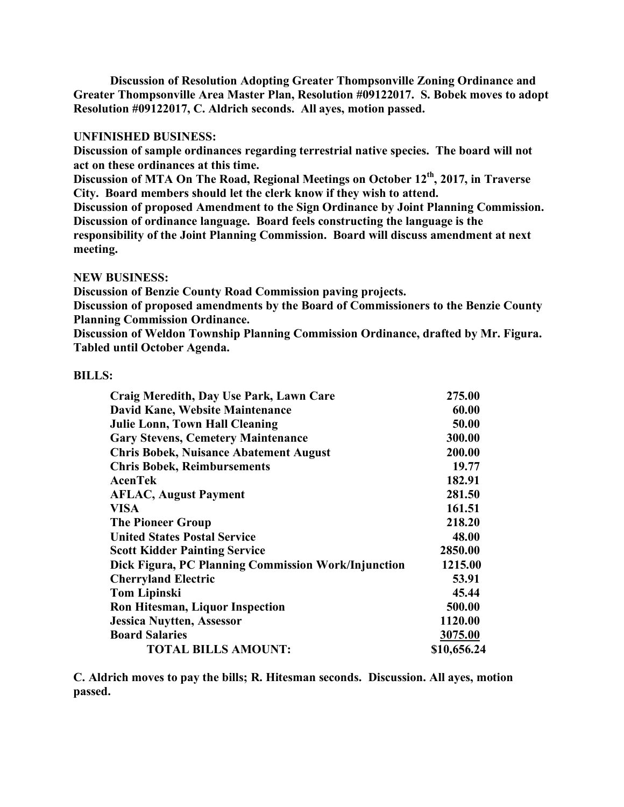**Discussion of Resolution Adopting Greater Thompsonville Zoning Ordinance and Greater Thompsonville Area Master Plan, Resolution #09122017. S. Bobek moves to adopt Resolution #09122017, C. Aldrich seconds. All ayes, motion passed.**

## **UNFINISHED BUSINESS:**

**Discussion of sample ordinances regarding terrestrial native species. The board will not act on these ordinances at this time.**

**Discussion of MTA On The Road, Regional Meetings on October 12th, 2017, in Traverse City. Board members should let the clerk know if they wish to attend.**

**Discussion of proposed Amendment to the Sign Ordinance by Joint Planning Commission. Discussion of ordinance language. Board feels constructing the language is the responsibility of the Joint Planning Commission. Board will discuss amendment at next meeting.**

# **NEW BUSINESS:**

**Discussion of Benzie County Road Commission paving projects.**

**Discussion of proposed amendments by the Board of Commissioners to the Benzie County Planning Commission Ordinance.**

**Discussion of Weldon Township Planning Commission Ordinance, drafted by Mr. Figura. Tabled until October Agenda.**

### **BILLS:**

| Craig Meredith, Day Use Park, Lawn Care             | 275.00      |
|-----------------------------------------------------|-------------|
| David Kane, Website Maintenance                     | 60.00       |
| <b>Julie Lonn, Town Hall Cleaning</b>               | 50.00       |
| <b>Gary Stevens, Cemetery Maintenance</b>           | 300.00      |
| <b>Chris Bobek, Nuisance Abatement August</b>       | 200.00      |
| <b>Chris Bobek, Reimbursements</b>                  | 19.77       |
| <b>AcenTek</b>                                      | 182.91      |
| <b>AFLAC, August Payment</b>                        | 281.50      |
| <b>VISA</b>                                         | 161.51      |
| <b>The Pioneer Group</b>                            | 218.20      |
| <b>United States Postal Service</b>                 | 48.00       |
| <b>Scott Kidder Painting Service</b>                | 2850.00     |
| Dick Figura, PC Planning Commission Work/Injunction | 1215.00     |
| <b>Cherryland Electric</b>                          | 53.91       |
| <b>Tom Lipinski</b>                                 | 45.44       |
| <b>Ron Hitesman, Liquor Inspection</b>              | 500.00      |
| <b>Jessica Nuytten, Assessor</b>                    | 1120.00     |
| <b>Board Salaries</b>                               | 3075.00     |
| <b>TOTAL BILLS AMOUNT:</b>                          | \$10,656.24 |

**C. Aldrich moves to pay the bills; R. Hitesman seconds. Discussion. All ayes, motion passed.**